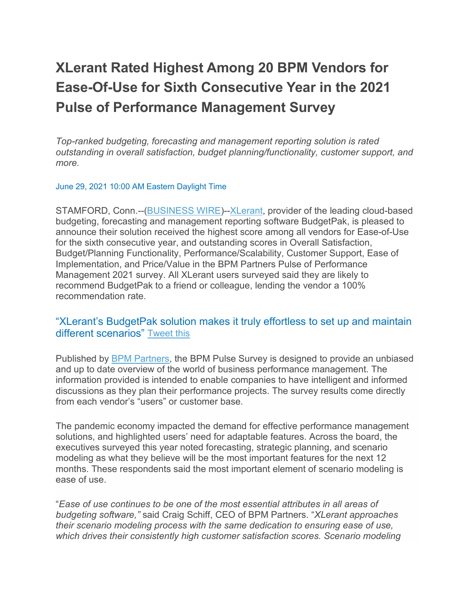# **XLerant Rated Highest Among 20 BPM Vendors for Ease-Of-Use for Sixth Consecutive Year in the 2021 Pulse of Performance Management Survey**

*Top-ranked budgeting, forecasting and management reporting solution is rated outstanding in overall satisfaction, budget planning/functionality, customer support, and more.*

#### June 29, 2021 10:00 AM Eastern Daylight Time

STAMFORD, Conn.--[\(BUSINESS WIRE\)](https://www.businesswire.com/)-[-XLerant,](https://cts.businesswire.com/ct/CT?id=smartlink&url=https%3A%2F%2Fxlerant.com%2F&esheet=52452199&newsitemid=20210629005136&lan=en-US&anchor=XLerant&index=1&md5=481f0267db296ab5b7941f2ca566ba2f) provider of the leading cloud-based budgeting, forecasting and management reporting software BudgetPak, is pleased to announce their solution received the highest score among all vendors for Ease-of-Use for the sixth consecutive year, and outstanding scores in Overall Satisfaction, Budget/Planning Functionality, Performance/Scalability, Customer Support, Ease of Implementation, and Price/Value in the BPM Partners Pulse of Performance Management 2021 survey. All XLerant users surveyed said they are likely to recommend BudgetPak to a friend or colleague, lending the vendor a 100% recommendation rate.

### "XLerant's BudgetPak solution makes it truly effortless to set up and maintain different scenarios" [Tweet](https://www.businesswire.com/news/home/20210629005136/en/XLerant-Rated-Highest-Among-20-BPM-Vendors-for-Ease-Of-Use-for-Sixth-Consecutive-Year-in-the-2021-Pulse-of-Performance-Management-Survey) this

Published by [BPM Partners,](https://cts.businesswire.com/ct/CT?id=smartlink&url=https%3A%2F%2Fwww.bpmpartners.com%2F&esheet=52452199&newsitemid=20210629005136&lan=en-US&anchor=BPM+Partners&index=2&md5=755682184376f79502f14b1e89846969) the BPM Pulse Survey is designed to provide an unbiased and up to date overview of the world of business performance management. The information provided is intended to enable companies to have intelligent and informed discussions as they plan their performance projects. The survey results come directly from each vendor's "users" or customer base.

The pandemic economy impacted the demand for effective performance management solutions, and highlighted users' need for adaptable features. Across the board, the executives surveyed this year noted forecasting, strategic planning, and scenario modeling as what they believe will be the most important features for the next 12 months. These respondents said the most important element of scenario modeling is ease of use.

"*Ease of use continues to be one of the most essential attributes in all areas of budgeting software,"* said Craig Schiff, CEO of BPM Partners. "*XLerant approaches their scenario modeling process with the same dedication to ensuring ease of use, which drives their consistently high customer satisfaction scores. Scenario modeling*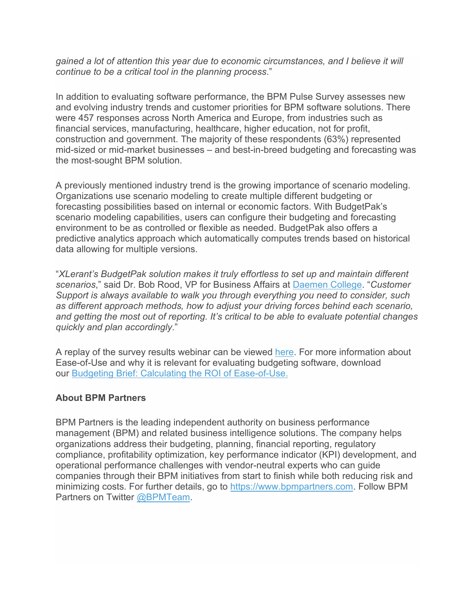*gained a lot of attention this year due to economic circumstances, and I believe it will continue to be a critical tool in the planning process*."

In addition to evaluating software performance, the BPM Pulse Survey assesses new and evolving industry trends and customer priorities for BPM software solutions. There were 457 responses across North America and Europe, from industries such as financial services, manufacturing, healthcare, higher education, not for profit, construction and government. The majority of these respondents (63%) represented mid-sized or mid-market businesses – and best-in-breed budgeting and forecasting was the most-sought BPM solution.

A previously mentioned industry trend is the growing importance of scenario modeling. Organizations use scenario modeling to create multiple different budgeting or forecasting possibilities based on internal or economic factors. With BudgetPak's scenario modeling capabilities, users can configure their budgeting and forecasting environment to be as controlled or flexible as needed. BudgetPak also offers a predictive analytics approach which automatically computes trends based on historical data allowing for multiple versions.

"*XLerant's BudgetPak solution makes it truly effortless to set up and maintain different scenarios*," said Dr. Bob Rood, VP for Business Affairs at [Daemen College.](https://cts.businesswire.com/ct/CT?id=smartlink&url=https%3A%2F%2Fwww.daemen.edu%2F&esheet=52452199&newsitemid=20210629005136&lan=en-US&anchor=Daemen+College&index=3&md5=640d144c11372f2630ecf67898611109) "*Customer Support is always available to walk you through everything you need to consider, such as different approach methods, how to adjust your driving forces behind each scenario, and getting the most out of reporting. It's critical to be able to evaluate potential changes quickly and plan accordingly*."

A replay of the survey results webinar can be viewed [here.](https://cts.businesswire.com/ct/CT?id=smartlink&url=https%3A%2F%2Fevent.webcasts.com%2Fstarthere.jsp%3Fei%3D1461706%26tp_key%3D202f73f20c.&esheet=52452199&newsitemid=20210629005136&lan=en-US&anchor=here&index=4&md5=dcadad819e34111f216a97557400fd5c) For more information about Ease-of-Use and why it is relevant for evaluating budgeting software, download our [Budgeting Brief: Calculating the ROI of Ease-of-Use.](https://cts.businesswire.com/ct/CT?id=smartlink&url=https%3A%2F%2Fxlerant.com%2Fwp-content%2Fuploads%2F2020%2F03%2FROI-of-Ease-of-Use_XLerant.pdf&esheet=52452199&newsitemid=20210629005136&lan=en-US&anchor=Budgeting+Brief%3A+Calculating+the+ROI+of+Ease-of-Use.&index=5&md5=259ba98211aa0cbe2e637d2848b32464)

#### **About BPM Partners**

BPM Partners is the leading independent authority on business performance management (BPM) and related business intelligence solutions. The company helps organizations address their budgeting, planning, financial reporting, regulatory compliance, profitability optimization, key performance indicator (KPI) development, and operational performance challenges with vendor-neutral experts who can guide companies through their BPM initiatives from start to finish while both reducing risk and minimizing costs. For further details, go to [https://www.bpmpartners.com.](https://cts.businesswire.com/ct/CT?id=smartlink&url=https%3A%2F%2Fwww.bpmpartners.com&esheet=52452199&newsitemid=20210629005136&lan=en-US&anchor=https%3A%2F%2Fwww.bpmpartners.com&index=6&md5=e438a2cba496244e6b6524eee85058ee) Follow BPM Partners on Twitter [@BPMTeam.](https://cts.businesswire.com/ct/CT?id=smartlink&url=https%3A%2F%2Ftwitter.com%2Fbpmteam%3Flang%3Den&esheet=52452199&newsitemid=20210629005136&lan=en-US&anchor=%40BPMTeam&index=7&md5=50e4d117c8483bf463cdebd37938b0aa)